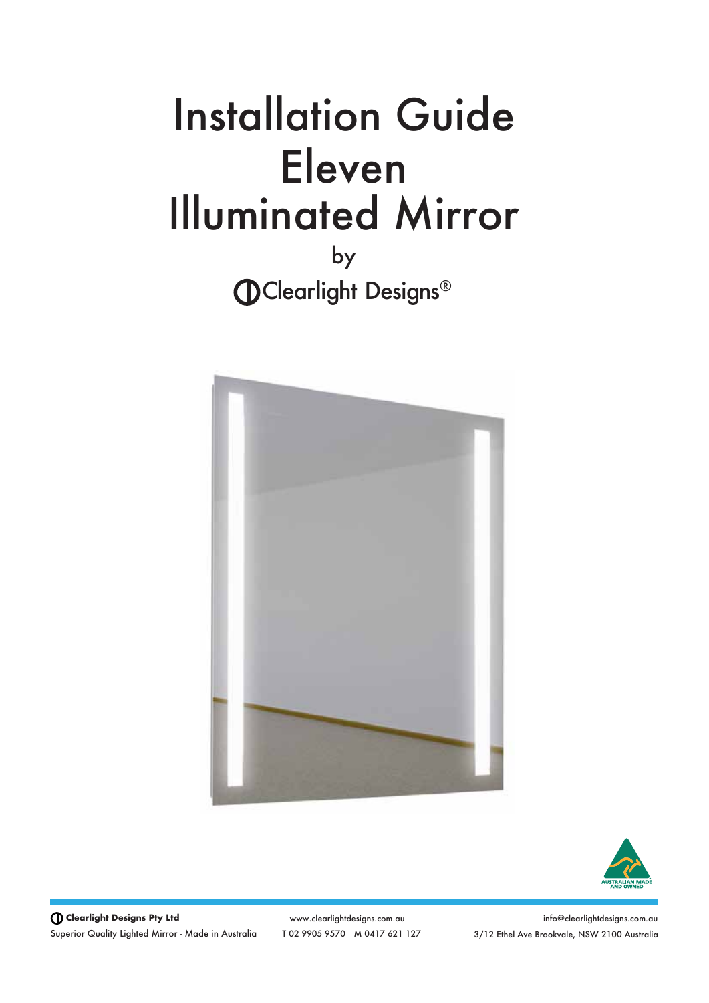# Installation Guide Illuminated Mirror Eleven

by **CD**Clearlight Designs®





**Clearlight Designs Pty Ltd** Superior Quality Lighted Mirror - Made in Australia

www.clearlightdesigns.com.au T 02 9905 9570 M 0417 621 127

info@clearlightdesigns.com.au 3/12 Ethel Ave Brookvale, NSW 2100 Australia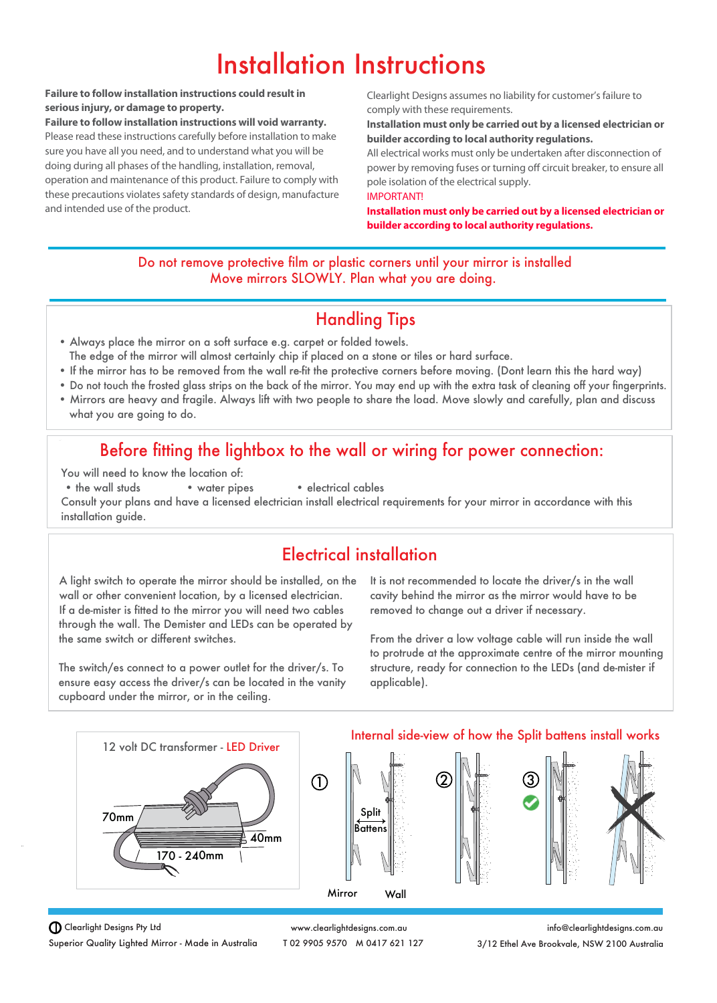## Installation Instructions

#### **Failure to follow installation instructions could result in serious injury, or damage to property.**

**Failure to follow installation instructions will void warranty.**  Please read these instructions carefully before installation to make sure you have all you need, and to understand what you will be doing during all phases of the handling, installation, removal, operation and maintenance of this product. Failure to comply with these precautions violates safety standards of design, manufacture and intended use of the product.

Clearlight Designs assumes no liability for customer's failure to comply with these requirements.

#### **Installation must only be carried out by a licensed electrician or builder according to local authority regulations.**

All electrical works must only be undertaken after disconnection of power by removing fuses or turning off circuit breaker, to ensure all pole isolation of the electrical supply.

#### IMPORTANT!

**Installation must only be carried out by a licensed electrician or builder according to local authority regulations.**

#### Do not remove protective film or plastic corners until your mirror is installed Move mirrors SLOWLY. Plan what you are doing.

## Handling Tips

- Always place the mirror on a soft surface e.g. carpet or folded towels. The edge of the mirror will almost certainly chip if placed on a stone or tiles or hard surface.
- If the mirror has to be removed from the wall re-fit the protective corners before moving. (Dont learn this the hard way)
- Do not touch the frosted glass strips on the back of the mirror. You may end up with the extra task of cleaning off your fingerprints.
- Mirrors are heavy and fragile. Always lift with two people to share the load. Move slowly and carefully, plan and discuss what you are going to do.

## Before fitting the lightbox to the wall or wiring for power connection:

You will need to know the location of:

- 
- the wall studs water pipes electrical cables

Consult your plans and have a licensed electrician install electrical requirements for your mirror in accordance with this installation guide.

## Electrical installation

A light switch to operate the mirror should be installed, on the wall or other convenient location, by a licensed electrician. If a de-mister is fitted to the mirror you will need two cables through the wall. The Demister and LEDs can be operated by the same switch or different switches.

The switch/es connect to a power outlet for the driver/s. To ensure easy access the driver/s can be located in the vanity cupboard under the mirror, or in the ceiling.

It is not recommended to locate the driver/s in the wall cavity behind the mirror as the mirror would have to be removed to change out a driver if necessary.

From the driver a low voltage cable will run inside the wall to protrude at the approximate centre of the mirror mounting structure, ready for connection to the LEDs (and de-mister if applicable).



www.clearlightdesigns.com.au T 02 9905 9570 M 0417 621 127

info@clearlightdesigns.com.au 3/12 Ethel Ave Brookvale, NSW 2100 Australia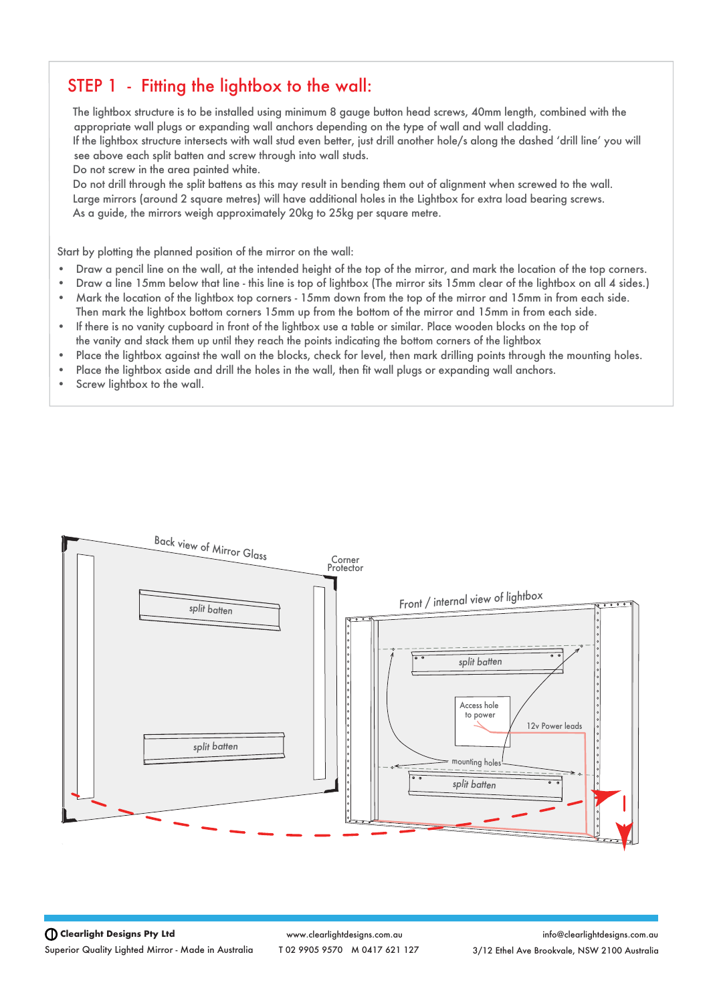#### STEP 1 - Fitting the lightbox to the wall:

 The lightbox structure is to be installed using minimum 8 gauge button head screws, 40mm length, combined with the appropriate wall plugs or expanding wall anchors depending on the type of wall and wall cladding. If the lightbox structure intersects with wall stud even better, just drill another hole/s along the dashed ʻdrill line' you will see above each split batten and screw through into wall studs.

Do not screw in the area painted white.

 Do not drill through the split battens as this may result in bending them out of alignment when screwed to the wall. Large mirrors (around 2 square metres) will have additional holes in the Lightbox for extra load bearing screws. As a guide, the mirrors weigh approximately 20kg to 25kg per square metre.

Start by plotting the planned position of the mirror on the wall:

- Draw a pencil line on the wall, at the intended height of the top of the mirror, and mark the location of the top corners.
- Draw a line 15mm below that line this line is top of lightbox (The mirror sits 15mm clear of the lightbox on all 4 sides.) • Mark the location of the lightbox top corners - 15mm down from the top of the mirror and 15mm in from each side.
- Then mark the lightbox bottom corners 15mm up from the bottom of the mirror and 15mm in from each side.
- If there is no vanity cupboard in front of the lightbox use a table or similar. Place wooden blocks on the top of the vanity and stack them up until they reach the points indicating the bottom corners of the lightbox
- Place the lightbox against the wall on the blocks, check for level, then mark drilling points through the mounting holes.
- Place the lightbox aside and drill the holes in the wall, then fit wall plugs or expanding wall anchors.
- Screw lightbox to the wall.



**Clearlight Designs Pty Ltd** Superior Quality Lighted Mirror - Made in Australia

www.clearlightdesigns.com.au T 02 9905 9570 M 0417 621 127